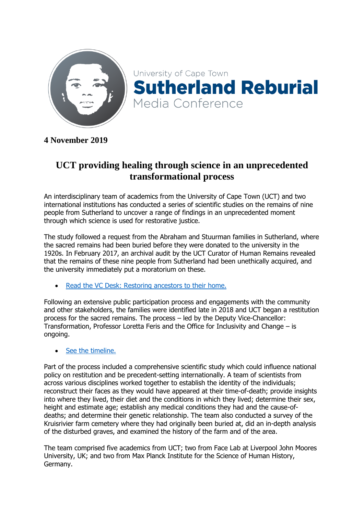

**4 November 2019**

# **UCT providing healing through science in an unprecedented transformational process**

An interdisciplinary team of academics from the University of Cape Town (UCT) and two international institutions has conducted a series of scientific studies on the remains of nine people from Sutherland to uncover a range of findings in an unprecedented moment through which science is used for restorative justice.

The study followed a request from the Abraham and Stuurman families in Sutherland, where the sacred remains had been buried before they were donated to the university in the 1920s. In February 2017, an archival audit by the UCT Curator of Human Remains revealed that the remains of these nine people from Sutherland had been unethically acquired, and the university immediately put a moratorium on these.

[Read the VC Desk: Restoring ancestors to their home.](https://www.news.uct.ac.za/article/-2018-10-11-restoring-ancestors-to-their-home)

Following an extensive public participation process and engagements with the community and other stakeholders, the families were identified late in 2018 and UCT began a restitution process for the sacred remains. The process – led by the Deputy Vice-Chancellor: Transformation, Professor Loretta Feris and the Office for Inclusivity and Change – is ongoing.

## • [See the timeline.](http://www.news.uct.ac.za/images/userfiles/images/pageimages/Sutherland/SutherlandMediaConferenceTimeline_A1-Poster.jpg)

Part of the process included a comprehensive scientific study which could influence national policy on restitution and be precedent-setting internationally. A team of scientists from across various disciplines worked together to establish the identity of the individuals; reconstruct their faces as they would have appeared at their time-of-death; provide insights into where they lived, their diet and the conditions in which they lived; determine their sex, height and estimate age; establish any medical conditions they had and the cause-ofdeaths; and determine their genetic relationship. The team also conducted a survey of the Kruisrivier farm cemetery where they had originally been buried at, did an in-depth analysis of the disturbed graves, and examined the history of the farm and of the area.

The team comprised five academics from UCT; two from Face Lab at Liverpool John Moores University, UK; and two from Max Planck Institute for the Science of Human History, Germany.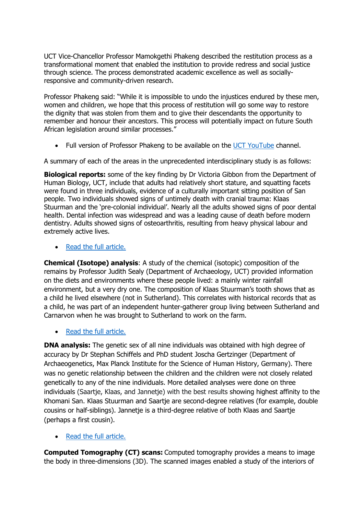UCT Vice-Chancellor Professor Mamokgethi Phakeng described the restitution process as a transformational moment that enabled the institution to provide redress and social justice through science. The process demonstrated academic excellence as well as sociallyresponsive and community-driven research.

Professor Phakeng said: "While it is impossible to undo the injustices endured by these men, women and children, we hope that this process of restitution will go some way to restore the dignity that was stolen from them and to give their descendants the opportunity to remember and honour their ancestors. This process will potentially impact on future South African legislation around similar processes."

• Full version of Professor Phakeng to be available on the [UCT YouTube](https://www.youtube.com/user/UCTSouthAfrica) channel.

A summary of each of the areas in the unprecedented interdisciplinary study is as follows:

**Biological reports:** some of the key finding by Dr Victoria Gibbon from the Department of Human Biology, UCT, include that adults had relatively short stature, and squatting facets were found in three individuals, evidence of a culturally important sitting position of San people. Two individuals showed signs of untimely death with cranial trauma: Klaas Stuurman and the 'pre-colonial individual'. Nearly all the adults showed signs of poor dental health. Dental infection was widespread and was a leading cause of death before modern dentistry. Adults showed signs of osteoarthritis, resulting from heavy physical labour and extremely active lives.

• [Read the full article.](http://www.news.uct.ac.za/features/sutherland/-article/2019-11-04-community-justice-through-science)

**Chemical (Isotope) analysis**: A study of the chemical (isotopic) composition of the remains by Professor Judith Sealy (Department of Archaeology, UCT) provided information on the diets and environments where these people lived: a mainly winter rainfall environment, but a very dry one. The composition of Klaas Stuurman's tooth shows that as a child he lived elsewhere (not in Sutherland). This correlates with historical records that as a child, he was part of an independent hunter-gatherer group living between Sutherland and Carnarvon when he was brought to Sutherland to work on the farm.

• [Read the full article.](http://www.news.uct.ac.za/features/sutherland/-article/2019-11-04-rewriting-a-piece-of-history)

**DNA analysis:** The genetic sex of all nine individuals was obtained with high degree of accuracy by Dr Stephan Schiffels and PhD student Joscha Gertzinger (Department of Archaeogenetics, Max Planck Institute for the Science of Human History, Germany). There was no genetic relationship between the children and the children were not closely related genetically to any of the nine individuals. More detailed analyses were done on three individuals (Saartje, Klaas, and Jannetje) with the best results showing highest affinity to the Khomani San. Klaas Stuurman and Saartje are second-degree relatives (for example, double cousins or half-siblings). Jannetje is a third-degree relative of both Klaas and Saartje (perhaps a first cousin).

[Read the full article.](http://www.news.uct.ac.za/features/sutherland/-article/2019-11-04-we-knew-their-names)

**Computed Tomography (CT) scans:** Computed tomography provides a means to image the body in three-dimensions (3D). The scanned images enabled a study of the interiors of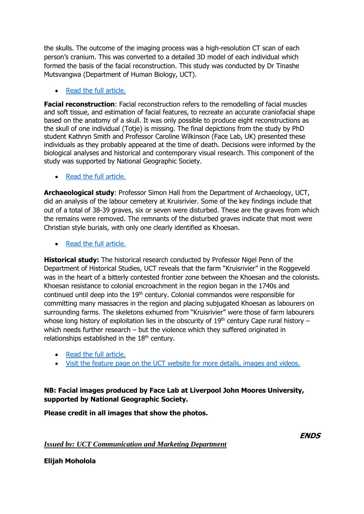the skulls. The outcome of the imaging process was a high-resolution CT scan of each person's cranium. This was converted to a detailed 3D model of each individual which formed the basis of the facial reconstruction. This study was conducted by Dr Tinashe Mutsvangwa (Department of Human Biology, UCT).

### • [Read the full article.](http://www.news.uct.ac.za/features/sutherland/-article/2019-11-04-encoding-the-values-of-transformation)

**Facial reconstruction**: Facial reconstruction refers to the remodelling of facial muscles and soft tissue, and estimation of facial features, to recreate an accurate craniofacial shape based on the anatomy of a skull. It was only possible to produce eight reconstructions as the skull of one individual (Totje) is missing. The final depictions from the study by PhD student Kathryn Smith and Professor Caroline Wilkinson (Face Lab, UK) presented these individuals as they probably appeared at the time of death. Decisions were informed by the biological analyses and historical and contemporary visual research. This component of the study was supported by National Geographic Society.

### [Read the full article.](http://www.news.uct.ac.za/features/sutherland/-article/2019-11-04-restoring-dignity-through-forensic-art)

**Archaeological study**: Professor Simon Hall from the Department of Archaeology, UCT, did an analysis of the labour cemetery at Kruisrivier. Some of the key findings include that out of a total of 38-39 graves, six or seven were disturbed. These are the graves from which the remains were removed. The remnants of the disturbed graves indicate that most were Christian style burials, with only one clearly identified as Khoesan.

• [Read the full article.](http://www.news.uct.ac.za/features/sutherland/-article/2019-11-04-using-archaeology-to-correct-injustice)

**Historical study:** The historical research conducted by Professor Nigel Penn of the Department of Historical Studies, UCT reveals that the farm "Kruisrivier" in the Roggeveld was in the heart of a bitterly contested frontier zone between the Khoesan and the colonists. Khoesan resistance to colonial encroachment in the region began in the 1740s and continued until deep into the 19<sup>th</sup> century. Colonial commandos were responsible for committing many massacres in the region and placing subjugated Khoesan as labourers on surrounding farms. The skeletons exhumed from "Kruisrivier" were those of farm labourers whose long history of exploitation lies in the obscurity of  $19<sup>th</sup>$  century Cape rural history – which needs further research – but the violence which they suffered originated in relationships established in the  $18<sup>th</sup>$  century.

- [Read the full article.](http://www.news.uct.ac.za/features/sutherland/-article/2019-11-04-breathing-life-into-history)
- [Visit the feature page on the UCT website for more details, images and videos.](http://www.news.uct.ac.za/features/sutherland/)

## **NB: Facial images produced by Face Lab at Liverpool John Moores University, supported by National Geographic Society.**

#### **Please credit in all images that show the photos.**

*Issued by: UCT Communication and Marketing Department*

**ENDS**

**Elijah Moholola**